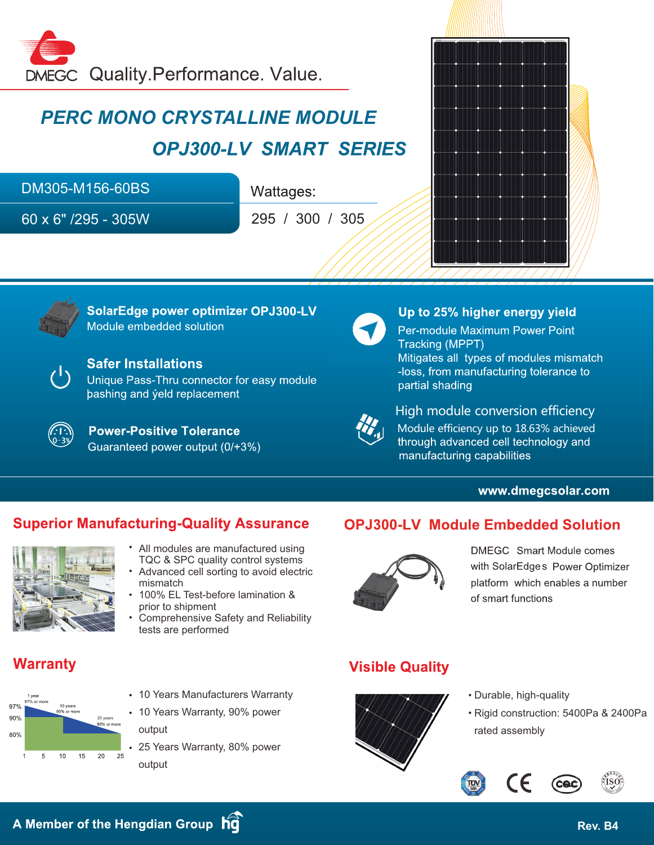

# *PERC MONO CRYSTALLINE MODULE* **OPJ300-LV SMART SERIES**

DM305-M156-60BS

60 x 6" /295 - 305W

Wattages:

295 / 300 / 305





SolarEdge power optimizer OPJ300-LV Module embedded solution



### **Safer Installations**

Unique Pass-Thru connector for easy module bashing and yeld replacement

**Power-Positive Tolerance** Guaranteed power output (0/+3%)



#### Up to 25% higher energy yield Per-module Maximum Power Point Tracking (MPPT) Mitigates all types of modules mismatch -loss, from manufacturing tolerance to partial shading



High module conversion efficiency Module efficiency up to 18.63% achieved through advanced cell technology and manufacturing capabilities

#### www.dmegcsolar.com

### **Superior Manufacturing-Quality Assurance**



- All modules are manufactured using TQC & SPC quality control systems
- Advanced cell sorting to avoid electric mismatch
- 100% EL Test-before lamination & prior to shipment
- Comprehensive Safety and Reliability tests are performed

## **Warranty**



- 10 Years Manufacturers Warranty
- 10 Years Warranty, 90% power output
- 25 Years Warranty, 80% power output

### **OPJ300-LV Module Embedded Solution**



DMEGC Smart Module comes with SolarEdges Power Optimizer platform which enables a number of smart functions

### **Visible Quality**



- Durable, high-quality
- Rigid construction: 5400Pa & 2400Pa rated assembly